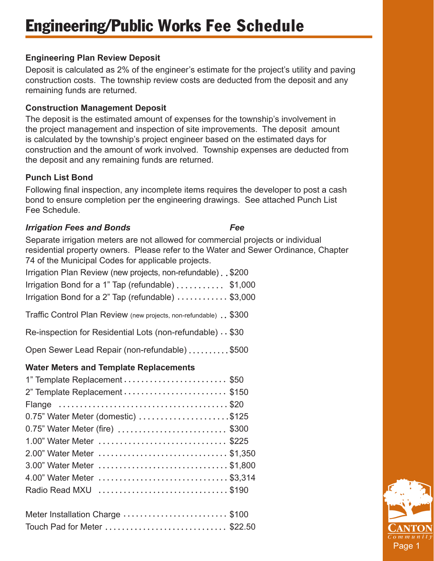# Engineering/Public Works Fee Schedule

## **Engineering Plan Review Deposit**

Deposit is calculated as 2% of the engineer's estimate for the project's utility and paving construction costs. The township review costs are deducted from the deposit and any remaining funds are returned.

### **Construction Management Deposit**

The deposit is the estimated amount of expenses for the township's involvement in the project management and inspection of site improvements. The deposit amount is calculated by the township's project engineer based on the estimated days for construction and the amount of work involved. Township expenses are deducted from the deposit and any remaining funds are returned.

### **Punch List Bond**

Following final inspection, any incomplete items requires the developer to post a cash bond to ensure completion per the engineering drawings. See attached Punch List Fee Schedule.

### *Irrigation Fees and Bonds* Fee

Separate irrigation meters are not allowed for commercial projects or individual residential property owners. Please refer to the Water and Sewer Ordinance, Chapter 74 of the Municipal Codes for applicable projects.

| Irrigation Plan Review (new projects, non-refundable). \$200 |  |
|--------------------------------------------------------------|--|
| Irrigation Bond for a 1" Tap (refundable) \$1,000            |  |
| Irrigation Bond for a 2" Tap (refundable) \$3,000            |  |

Traffic Control Plan Review (new projects, non-refundable) . \$300

Re-inspection for Residential Lots (non-refundable)  $\cdot$  \$30

Open Sewer Lead Repair (non-refundable) .........\$500

## **Water Meters and Template Replacements**

| 1" Template Replacement  \$50                                               |  |
|-----------------------------------------------------------------------------|--|
| 2" Template Replacement  \$150                                              |  |
|                                                                             |  |
| $0.75$ " Water Meter (domestic) $\dots\dots\dots\dots\dots\dots\dots$ \$125 |  |
| 0.75" Water Meter (fire)  \$300                                             |  |
| 1.00" Water Meter  \$225                                                    |  |
| 2.00" Water Meter  \$1,350                                                  |  |
| 3.00" Water Meter \$1,800                                                   |  |
| 4.00" Water Meter  \$3,314                                                  |  |
| Radio Read MXU \$190                                                        |  |

| Meter Installation Charge \$100 |  |
|---------------------------------|--|
| Touch Pad for Meter \$22.50     |  |